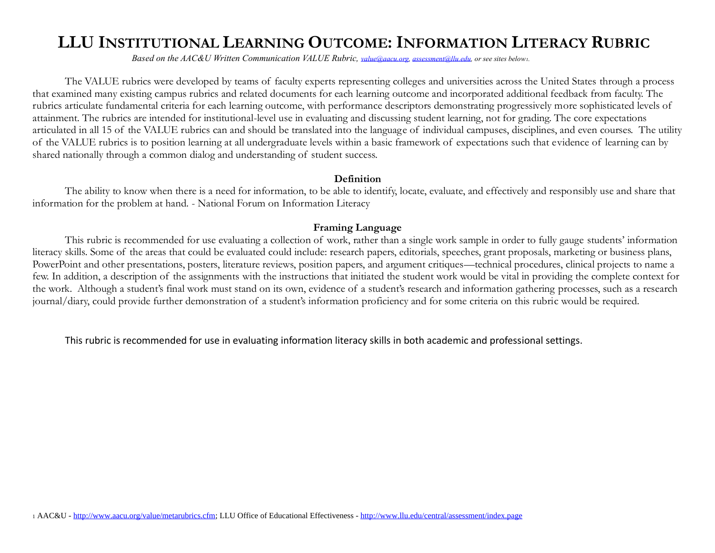# **LLU INSTITUTIONAL LEARNING OUTCOME: INFORMATION LITERACY RUBRIC**

 *Based on the AAC&U Written Communication VALUE Rubric, [value@aacu.org,](mailto:value@aacu.org) [assessment@llu.edu,](mailto:assessment@llu.edu) or see sites below1.*

The VALUE rubrics were developed by teams of faculty experts representing colleges and universities across the United States through a process that examined many existing campus rubrics and related documents for each learning outcome and incorporated additional feedback from faculty. The rubrics articulate fundamental criteria for each learning outcome, with performance descriptors demonstrating progressively more sophisticated levels of attainment. The rubrics are intended for institutional-level use in evaluating and discussing student learning, not for grading. The core expectations articulated in all 15 of the VALUE rubrics can and should be translated into the language of individual campuses, disciplines, and even courses. The utility of the VALUE rubrics is to position learning at all undergraduate levels within a basic framework of expectations such that evidence of learning can by shared nationally through a common dialog and understanding of student success.

#### **Definition**

The ability to know when there is a need for information, to be able to identify, locate, evaluate, and effectively and responsibly use and share that information for the problem at hand. - National Forum on Information Literacy

### **Framing Language**

This rubric is recommended for use evaluating a collection of work, rather than a single work sample in order to fully gauge students' information literacy skills. Some of the areas that could be evaluated could include: research papers, editorials, speeches, grant proposals, marketing or business plans, PowerPoint and other presentations, posters, literature reviews, position papers, and argument critiques—technical procedures, clinical projects to name a few. In addition, a description of the assignments with the instructions that initiated the student work would be vital in providing the complete context for the work. Although a student's final work must stand on its own, evidence of a student's research and information gathering processes, such as a research journal/diary, could provide further demonstration of a student's information proficiency and for some criteria on this rubric would be required.

This rubric is recommended for use in evaluating information literacy skills in both academic and professional settings.